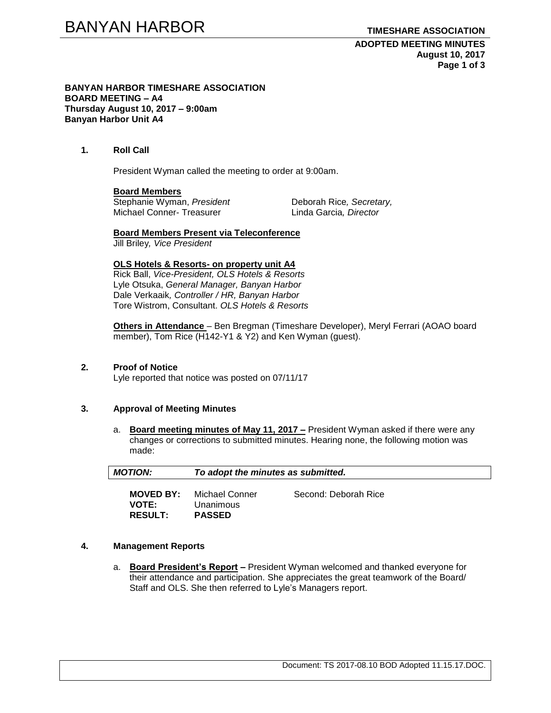**ADOPTED MEETING MINUTES August 10, 2017 Page 1 of 3**

#### **BANYAN HARBOR TIMESHARE ASSOCIATION BOARD MEETING – A4 Thursday August 10, 2017 – 9:00am Banyan Harbor Unit A4**

### **1. Roll Call**

President Wyman called the meeting to order at 9:00am.

#### **Board Members**

Stephanie Wyman, *President* Deborah Rice, Secretary, Michael Conner- Treasurer Linda Garcia*, Director*

**Board Members Present via Teleconference** Jill Briley*, Vice President*

**OLS Hotels & Resorts- on property unit A4** Rick Ball, *Vice-President, OLS Hotels & Resorts* Lyle Otsuka, *General Manager, Banyan Harbor* Dale Verkaaik*, Controller / HR, Banyan Harbor* Tore Wistrom, Consultant. *OLS Hotels & Resorts* 

**Others in Attendance** – Ben Bregman (Timeshare Developer), Meryl Ferrari (AOAO board member), Tom Rice (H142-Y1 & Y2) and Ken Wyman (guest).

### **2. Proof of Notice**

Lyle reported that notice was posted on 07/11/17

#### **3. Approval of Meeting Minutes**

a. **Board meeting minutes of May 11, 2017 –** President Wyman asked if there were any changes or corrections to submitted minutes. Hearing none, the following motion was made:

| <b>MOTION:</b>                                     | To adopt the minutes as submitted.            |                      |  |
|----------------------------------------------------|-----------------------------------------------|----------------------|--|
| <b>MOVED BY:</b><br><b>VOTE:</b><br><b>RESULT:</b> | -Michael Conner<br>Unanimous<br><b>PASSED</b> | Second: Deborah Rice |  |

#### **4. Management Reports**

a. **Board President's Report –** President Wyman welcomed and thanked everyone for their attendance and participation. She appreciates the great teamwork of the Board/ Staff and OLS. She then referred to Lyle's Managers report.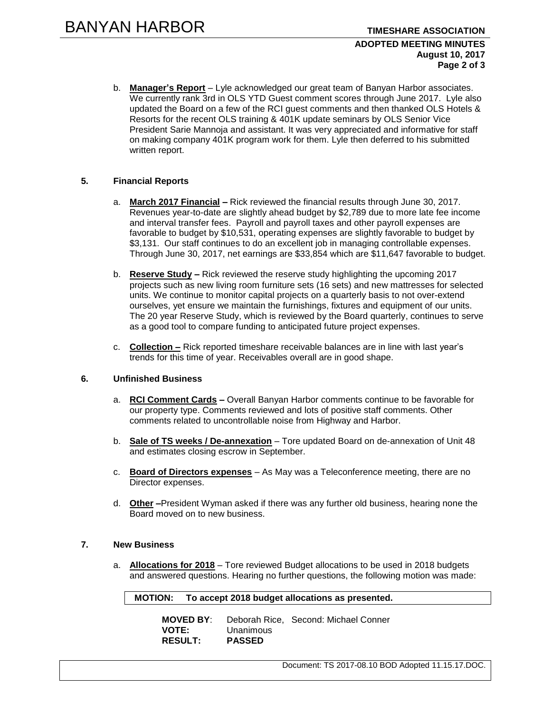## **ADOPTED MEETING MINUTES August 10, 2017 Page 2 of 3**

b. **Manager's Report** – Lyle acknowledged our great team of Banyan Harbor associates. We currently rank 3rd in OLS YTD Guest comment scores through June 2017. Lyle also updated the Board on a few of the RCI guest comments and then thanked OLS Hotels & Resorts for the recent OLS training & 401K update seminars by OLS Senior Vice President Sarie Mannoja and assistant. It was very appreciated and informative for staff on making company 401K program work for them. Lyle then deferred to his submitted written report.

# **5. Financial Reports**

- a. **March 2017 Financial –** Rick reviewed the financial results through June 30, 2017. Revenues year-to-date are slightly ahead budget by \$2,789 due to more late fee income and interval transfer fees. Payroll and payroll taxes and other payroll expenses are favorable to budget by \$10,531, operating expenses are slightly favorable to budget by \$3,131. Our staff continues to do an excellent job in managing controllable expenses. Through June 30, 2017, net earnings are \$33,854 which are \$11,647 favorable to budget.
- b. **Reserve Study –** Rick reviewed the reserve study highlighting the upcoming 2017 projects such as new living room furniture sets (16 sets) and new mattresses for selected units. We continue to monitor capital projects on a quarterly basis to not over-extend ourselves, yet ensure we maintain the furnishings, fixtures and equipment of our units. The 20 year Reserve Study, which is reviewed by the Board quarterly, continues to serve as a good tool to compare funding to anticipated future project expenses.
- c. **Collection –** Rick reported timeshare receivable balances are in line with last year's trends for this time of year. Receivables overall are in good shape.

#### **6. Unfinished Business**

- a. **RCI Comment Cards –** Overall Banyan Harbor comments continue to be favorable for our property type. Comments reviewed and lots of positive staff comments. Other comments related to uncontrollable noise from Highway and Harbor.
- b. **Sale of TS weeks / De-annexation** Tore updated Board on de-annexation of Unit 48 and estimates closing escrow in September.
- c. **Board of Directors expenses** As May was a Teleconference meeting, there are no Director expenses.
- d. **Other –**President Wyman asked if there was any further old business, hearing none the Board moved on to new business.

#### **7. New Business**

a. **Allocations for 2018** – Tore reviewed Budget allocations to be used in 2018 budgets and answered questions. Hearing no further questions, the following motion was made:

#### **MOTION: To accept 2018 budget allocations as presented.**

| <b>MOVED BY:</b> |               | Deborah Rice, Second: Michael Conner |
|------------------|---------------|--------------------------------------|
| <b>VOTE:</b>     | Unanimous     |                                      |
| <b>RESULT:</b>   | <b>PASSED</b> |                                      |

Document: TS 2017-08.10 BOD Adopted 11.15.17.DOC.